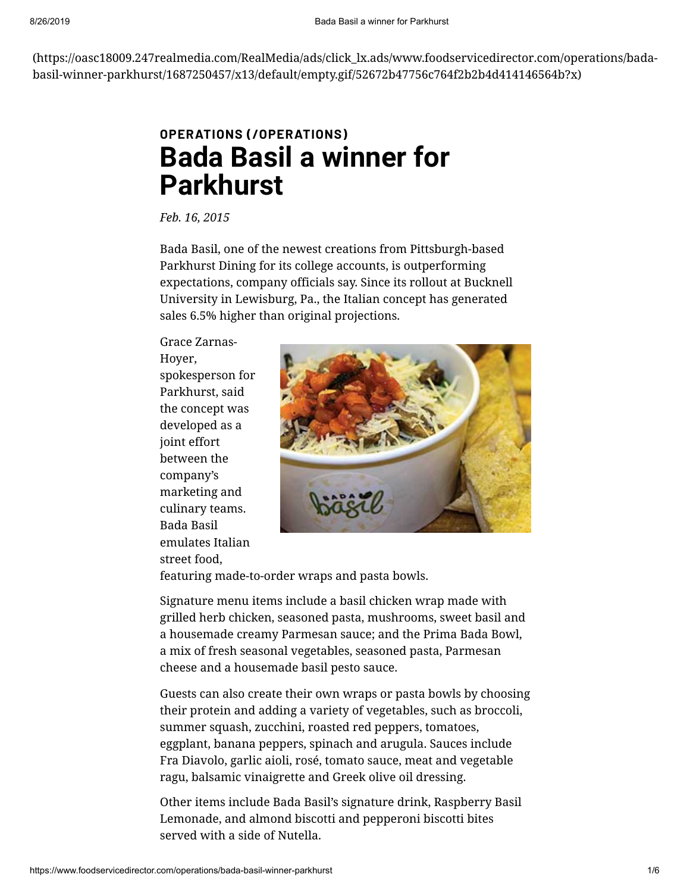[\(https://oasc18009.247realmedia.com/RealMedia/ads/click\\_lx.ads/www.foodservicedirector.com/operations/bada](https://oasc18009.247realmedia.com/RealMedia/ads/click_lx.ads/www.foodservicedirector.com/operations/bada-basil-winner-parkhurst/1687250457/x13/default/empty.gif/52672b47756c764f2b2b4d414146564b?x)basil-winner-parkhurst/1687250457/x13/default/empty.gif/52672b47756c764f2b2b4d414146564b?x)

# **OPERATIONS [\(/OPERATIONS\)](https://www.foodservicedirector.com/operations) Bada Basil a winner for Parkhurst**

*Feb. 16, 2015*

Bada Basil, one of the newest creations from Pittsburgh-based Parkhurst Dining for its college accounts, is outperforming expectations, company officials say. Since its rollout at Bucknell University in Lewisburg, Pa., the Italian concept has generated sales 6.5% higher than original projections.

Grace Zarnas-Hoyer, spokesperson for Parkhurst, said the concept was developed as a joint effort between the company's marketing and culinary teams. Bada Basil emulates Italian street food,



featuring made-to-order wraps and pasta bowls.

Signature menu items include a basil chicken wrap made with grilled herb chicken, seasoned pasta, mushrooms, sweet basil and a housemade creamy Parmesan sauce; and the Prima Bada Bowl, a mix of fresh seasonal vegetables, seasoned pasta, Parmesan cheese and a housemade basil pesto sauce.

Guests can also create their own wraps or pasta bowls by choosing their protein and adding a variety of vegetables, such as broccoli, summer squash, zucchini, roasted red peppers, tomatoes, eggplant, banana peppers, spinach and arugula. Sauces include Fra Diavolo, garlic aioli, rosé, tomato sauce, meat and vegetable ragu, balsamic vinaigrette and Greek olive oil dressing.

Other items include Bada Basil's signature drink, Raspberry Basil Lemonade, and almond biscotti and pepperoni biscotti bites served with a side of Nutella.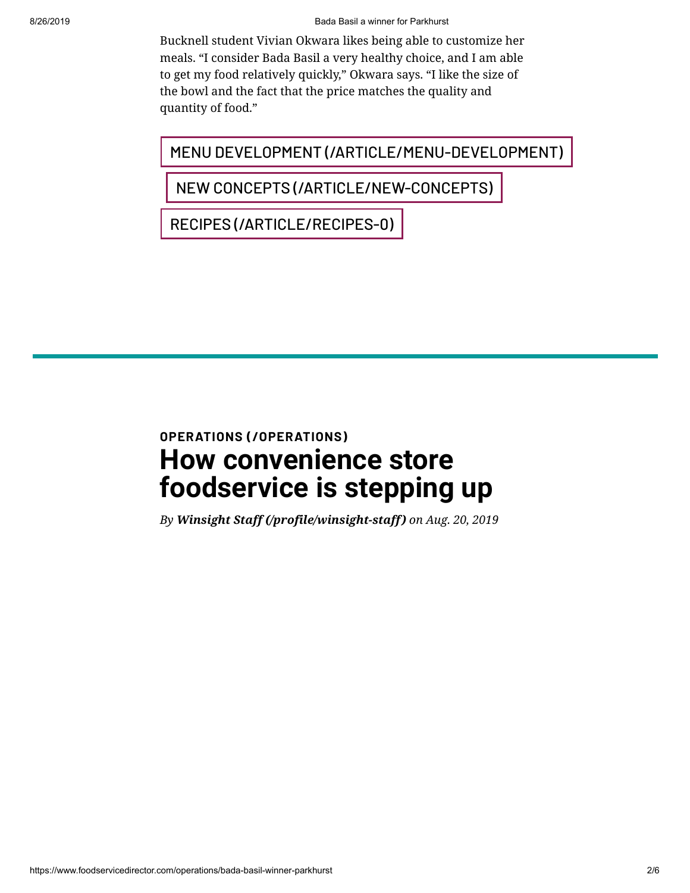#### 8/26/2019 Bada Basil a winner for Parkhurst

Bucknell student Vivian Okwara likes being able to customize her meals. "I consider Bada Basil a very healthy choice, and I am able to get my food relatively quickly," Okwara says. "I like the size of the bowl and the fact that the price matches the quality and quantity of food."

MENU DEVELOPMENT [\(/ARTICLE/MENU-DEVELOPMENT\)](https://www.foodservicedirector.com/article/menu-development)

NEW CONCEPTS [\(/ARTICLE/NEW-CONCEPTS\)](https://www.foodservicedirector.com/article/new-concepts)

RECIPES [\(/ARTICLE/RECIPES-0\)](https://www.foodservicedirector.com/article/recipes-0)

# **OPERATIONS [\(/OPERATIONS\)](https://www.foodservicedirector.com/operations) How convenience store foodservice is stepping up**

*By [Winsight Staff \(/profile/winsight-staff\)](https://www.foodservicedirector.com/profile/winsight-staff) on Aug. 20, 2019*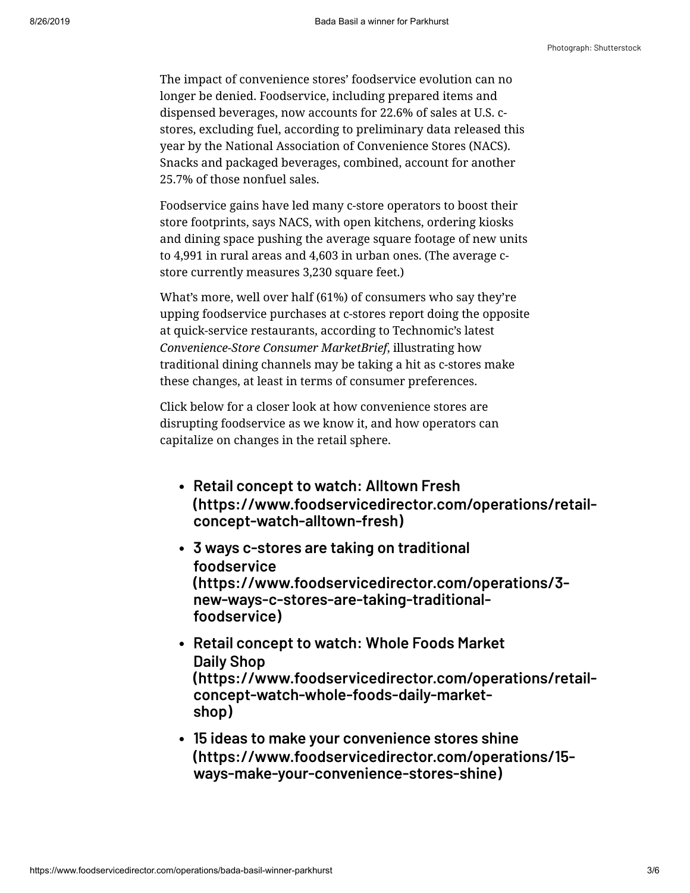#### Photograph: Shutterstock

The impact of convenience stores' foodservice evolution can no longer be denied. Foodservice, including prepared items and dispensed beverages, now accounts for 22.6% of sales at U.S. cstores, excluding fuel, according to preliminary data released this year by the National Association of Convenience Stores (NACS). Snacks and packaged beverages, combined, account for another 25.7% of those nonfuel sales.

Foodservice gains have led many c-store operators to boost their store footprints, says NACS, with open kitchens, ordering kiosks and dining space pushing the average square footage of new units to 4,991 in rural areas and 4,603 in urban ones. (The average cstore currently measures 3,230 square feet.)

What's more, well over half (61%) of consumers who say they're upping foodservice purchases at c-stores report doing the opposite at quick-service restaurants, according to Technomic's latest *Convenience-Store Consumer MarketBrief*, illustrating how traditional dining channels may be taking a hit as c-stores make these changes, at least in terms of consumer preferences.

Click below for a closer look at how convenience stores are disrupting foodservice as we know it, and how operators can capitalize on changes in the retail sphere.

- **Retail concept to watch: Alltown Fresh [\(https://www.foodservicedirector.com/operations/retail](https://www.foodservicedirector.com/operations/retail-concept-watch-alltown-fresh)concept-watch-alltown-fresh)**
- **3 ways c-stores are taking on traditional foodservice [\(https://www.foodservicedirector.com/operations/3](https://www.foodservicedirector.com/operations/3-new-ways-c-stores-are-taking-traditional-foodservice) new-ways-c-stores-are-taking-traditionalfoodservice)**
- **Retail concept to watch: Whole Foods Market Daily Shop [\(https://www.foodservicedirector.com/operations/retail](https://www.foodservicedirector.com/operations/retail-concept-watch-whole-foods-daily-market-shop)concept-watch-whole-foods-daily-marketshop)**
- **15 ideas to make your convenience stores shine [\(https://www.foodservicedirector.com/operations/15](https://www.foodservicedirector.com/operations/15-ways-make-your-convenience-stores-shine) ways-make-your-convenience-stores-shine)**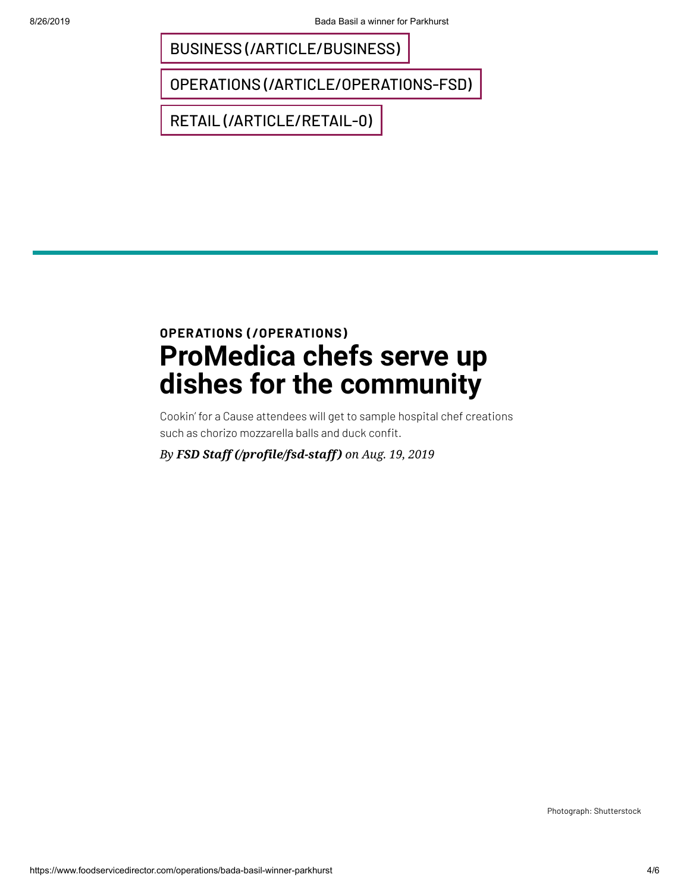BUSINESS [\(/ARTICLE/BUSINESS\)](https://www.foodservicedirector.com/article/business)

OPERATIONS [\(/ARTICLE/OPERATIONS-FSD\)](https://www.foodservicedirector.com/article/operations-fsd)

RETAIL [\(/ARTICLE/RETAIL-0\)](https://www.foodservicedirector.com/article/retail-0)

# **OPERATIONS [\(/OPERATIONS\)](https://www.foodservicedirector.com/operations) ProMedica chefs serve up dishes for the community**

Cookin' for a Cause attendees will get to sample hospital chef creations such as chorizo mozzarella balls and duck confit.

*By [FSD Staff \(/profile/fsd-staff\)](https://www.foodservicedirector.com/profile/fsd-staff) on Aug. 19, 2019*

Photograph: Shutterstock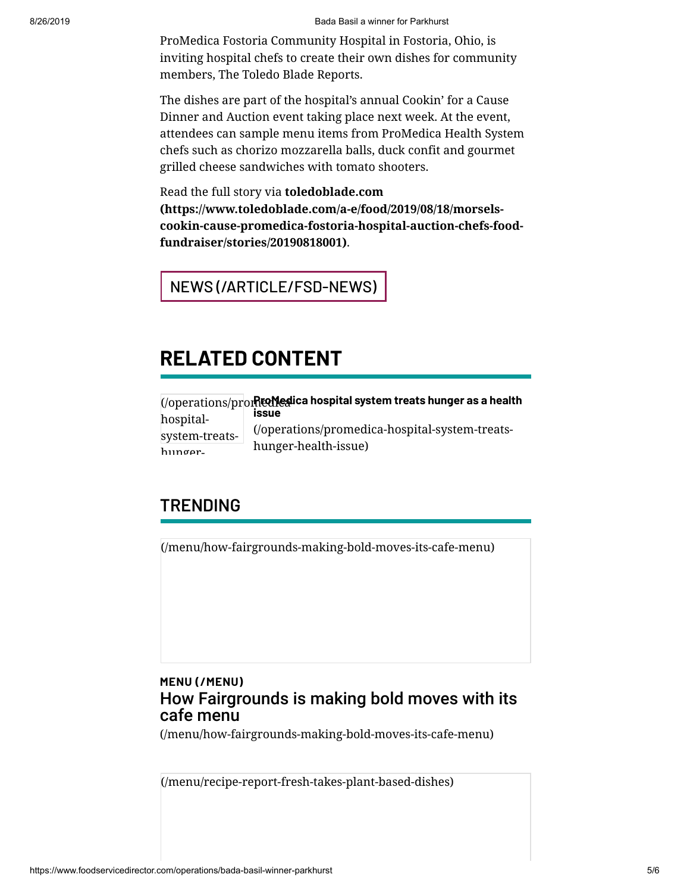#### 8/26/2019 Bada Basil a winner for Parkhurst

ProMedica Fostoria Community Hospital in Fostoria, Ohio, is inviting hospital chefs to create their own dishes for community members, The Toledo Blade Reports.

The dishes are part of the hospital's annual Cookin' for a Cause Dinner and Auction event taking place next week. At the event, attendees can sample menu items from ProMedica Health System chefs such as chorizo mozzarella balls, duck confit and gourmet grilled cheese sandwiches with tomato shooters.

Read the full story via **toledoblade.com (https://www.toledoblade.com/a-e/food/2019/08/18/morsels[cookin-cause-promedica-fostoria-hospital-auction-chefs-food](https://www.toledoblade.com/a-e/food/2019/08/18/morsels-cookin-cause-promedica-fostoria-hospital-auction-chefs-food-fundraiser/stories/20190818001)fundraiser/stories/20190818001)**.

## NEWS [\(/ARTICLE/FSD-NEWS\)](https://www.foodservicedirector.com/article/fsd-news)

## **RELATED CONTENT**

|                | (/operations/prometalica hospital system treats hunger as a health                     |
|----------------|----------------------------------------------------------------------------------------|
| hospital-      | <b>ISSUE</b><br>(/operations/promedica-hospital-system-treats-<br>hunger-health-issue) |
| system-treats- |                                                                                        |
| hunger-        |                                                                                        |

### **TRENDING**

[\(/menu/how-fairgrounds-making-bold-moves-its-cafe-menu\)](https://www.foodservicedirector.com/menu/how-fairgrounds-making-bold-moves-its-cafe-menu)

### **MENU [\(/MENU\)](https://www.foodservicedirector.com/menu)** How Fairgrounds is making bold moves with its cafe menu

[\(/menu/how-fairgrounds-making-bold-moves-its-cafe-menu\)](https://www.foodservicedirector.com/menu/how-fairgrounds-making-bold-moves-its-cafe-menu)

[\(/menu/recipe-report-fresh-takes-plant-based-dishes\)](https://www.foodservicedirector.com/menu/recipe-report-fresh-takes-plant-based-dishes)